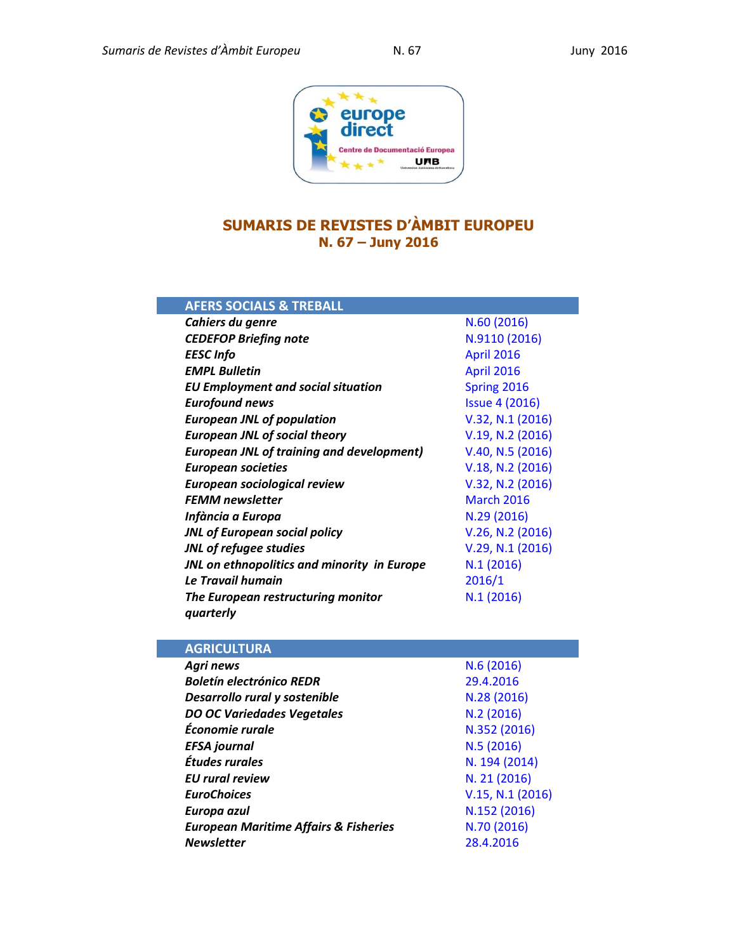

## **SUMARIS DE REVISTES D'ÀMBIT EUROPEU N. 67 – Juny 2016**

| <b>AFERS SOCIALS &amp; TREBALL</b>               |                       |
|--------------------------------------------------|-----------------------|
| Cahiers du genre                                 | N.60 (2016)           |
| <b>CEDEFOP Briefing note</b>                     | N.9110 (2016)         |
| <b>EESC</b> Info                                 | <b>April 2016</b>     |
| <b>EMPL Bulletin</b>                             | <b>April 2016</b>     |
| <b>EU Employment and social situation</b>        | Spring 2016           |
| <b>Eurofound news</b>                            | <b>Issue 4 (2016)</b> |
| <b>European JNL of population</b>                | V.32, N.1 (2016)      |
| <b>European JNL of social theory</b>             | V.19, N.2 (2016)      |
| <b>European JNL of training and development)</b> | V.40, N.5 (2016)      |
| <b>European societies</b>                        | V.18, N.2 (2016)      |
| European sociological review                     | V.32, N.2 (2016)      |
| <b>FEMM</b> newsletter                           | <b>March 2016</b>     |
| Infància a Europa                                | N.29 (2016)           |
| <b>JNL of European social policy</b>             | V.26, N.2 (2016)      |
| <b>JNL of refugee studies</b>                    | V.29, N.1 (2016)      |
| JNL on ethnopolitics and minority in Europe      | N.1(2016)             |
| Le Travail humain                                | 2016/1                |
| The European restructuring monitor<br>quarterly  | N.1(2016)             |

| <b>AGRICULTURA</b>                               |                  |
|--------------------------------------------------|------------------|
| Agri news                                        | N.6(2016)        |
| <b>Boletín electrónico REDR</b>                  | 29.4.2016        |
| Desarrollo rural y sostenible                    | N.28 (2016)      |
| <b>DO OC Variedades Vegetales</b>                | N.2(2016)        |
| Économie rurale                                  | N.352 (2016)     |
| <b>EFSA</b> journal                              | N.5(2016)        |
| Études rurales                                   | N. 194 (2014)    |
| <b>EU</b> rural review                           | N. 21 (2016)     |
| <b>EuroChoices</b>                               | V.15, N.1 (2016) |
| Europa azul                                      | N.152 (2016)     |
| <b>European Maritime Affairs &amp; Fisheries</b> | N.70 (2016)      |
| <b>Newsletter</b>                                | 28.4.2016        |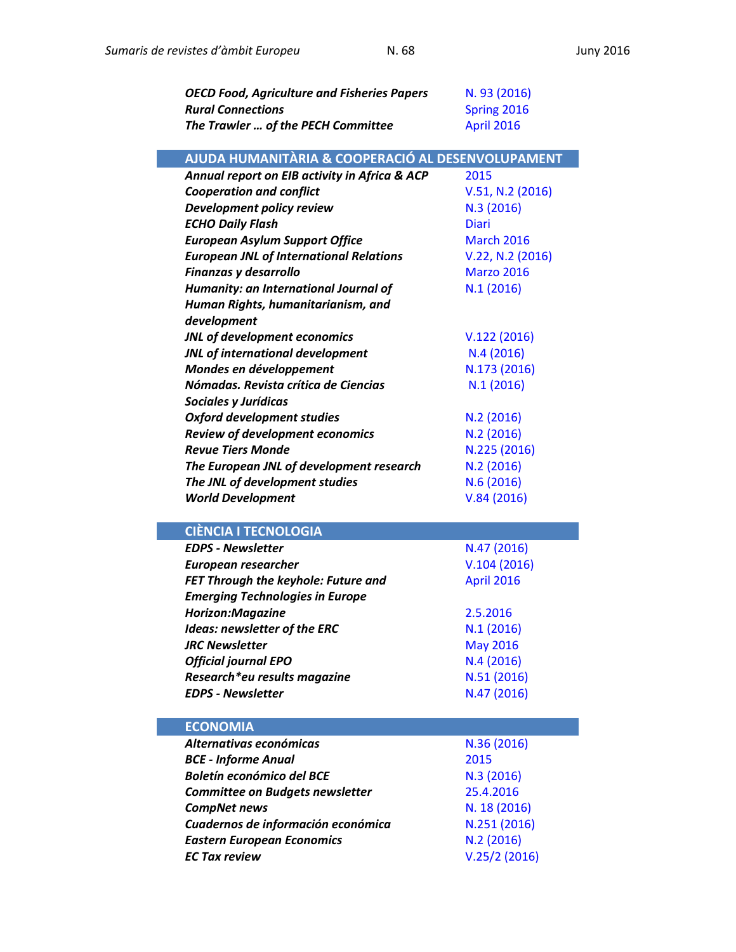| <b>OECD Food, Agriculture and Fisheries Papers</b> | N. 93 (2016)      |
|----------------------------------------------------|-------------------|
| <b>Rural Connections</b>                           | Spring 2016       |
| The Trawler  of the PECH Committee                 | April 2016        |
| AJUDA HUMANITÀRIA & COOPERACIÓ AL DESENVOLUPAMENT  |                   |
| Annual report on EIB activity in Africa & ACP      | 2015              |
| <b>Cooperation and conflict</b>                    | V.51, N.2 (2016)  |
| Development policy review                          | N.3 (2016)        |
| <b>ECHO Daily Flash</b>                            | <b>Diari</b>      |
| <b>European Asylum Support Office</b>              | <b>March 2016</b> |
| <b>European JNL of International Relations</b>     | V.22, N.2 (2016)  |
| Finanzas y desarrollo                              | <b>Marzo 2016</b> |
| Humanity: an International Journal of              | N.1(2016)         |
| Human Rights, humanitarianism, and                 |                   |
| development                                        |                   |
| JNL of development economics                       | V.122(2016)       |
| JNL of international development                   | N.4 (2016)        |
| Mondes en développement                            | N.173 (2016)      |
| Nómadas. Revista crítica de Ciencias               | N.1(2016)         |
| Sociales y Jurídicas                               |                   |
| <b>Oxford development studies</b>                  | N.2 (2016)        |
| Review of development economics                    | N.2 (2016)        |
| <b>Revue Tiers Monde</b>                           | N.225 (2016)      |
| The European JNL of development research           | N.2 (2016)        |
| The JNL of development studies                     | N.6(2016)         |
| <b>World Development</b>                           | V.84(2016)        |
| <b>CIÈNCIA I TECNOLOGIA</b>                        |                   |
| <b>EDPS - Newsletter</b>                           | N.47 (2016)       |
| <b>European researcher</b>                         | V.104(2016)       |
| FET Through the keyhole: Future and                | April 2016        |
| <b>Emerging Technologies in Europe</b>             |                   |
| Horizon: Magazine                                  | 2.5.2016          |
| <b>Ideas: newsletter of the ERC</b>                | N.1 (2016)        |
| <b>JRC Newsletter</b>                              | <b>May 2016</b>   |
| <b>Official journal EPO</b>                        | N.4(2016)         |
| Research*eu results magazine                       | N.51 (2016)       |
| <b>EDPS - Newsletter</b>                           | N.47 (2016)       |
|                                                    |                   |
| <b>ECONOMIA</b>                                    |                   |
| Alternativas económicas                            | N.36 (2016)       |
| <b>BCE - Informe Anual</b>                         | 2015              |
| <b>Boletín económico del BCE</b>                   | N.3(2016)         |
| <b>Committee on Budgets newsletter</b>             | 25.4.2016         |
| <b>CompNet news</b>                                | N. 18 (2016)      |
| Cuadernos de información económica                 | N.251 (2016)      |
| <b>Eastern European Economics</b>                  | N.2(2016)         |
| <b>EC Tax review</b>                               | V.25/2(2016)      |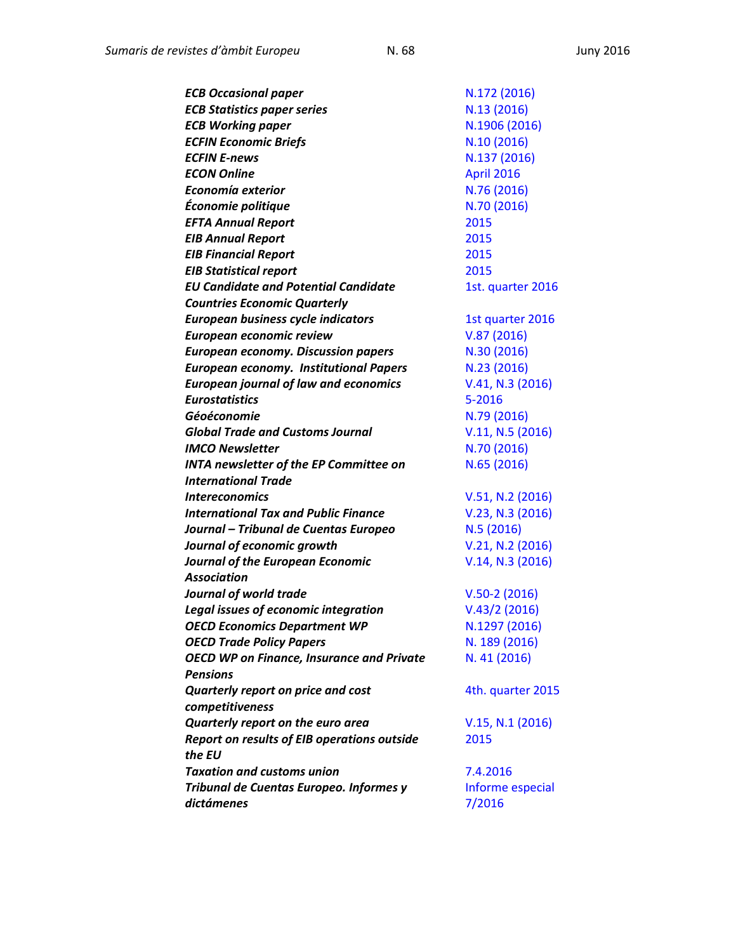| N.13 (2016)<br>N.1906 (2016)<br>N.10(2016)<br>N.137 (2016)<br>April 2016<br>N.76 (2016)<br>N.70 (2016)<br>2015<br>2015<br>2015<br>2015<br>1st. quarter 2016<br>1st quarter 2016<br>V.87(2016)<br>N.30 (2016)<br>N.23 (2016)<br>V.41, N.3 (2016)<br>5-2016<br>N.79 (2016)<br>V.11, N.5 (2016)<br>N.70 (2016)<br>N.65 (2016)<br>V.51, N.2 (2016)<br>V.23, N.3 (2016)<br>N.5 (2016)<br>V.21, N.2 (2016)<br>V.14, N.3 (2016)<br>$V.50-2(2016)$<br>V.43/2(2016)<br>N.1297 (2016)<br>N. 189 (2016)<br>N. 41 (2016)<br>4th. quarter 2015<br>V.15, N.1 (2016)<br>2015<br>7.4.2016<br>Informe especial<br>7/2016 | <b>ECB Occasional paper</b>                        | N.172 (2016) |
|---------------------------------------------------------------------------------------------------------------------------------------------------------------------------------------------------------------------------------------------------------------------------------------------------------------------------------------------------------------------------------------------------------------------------------------------------------------------------------------------------------------------------------------------------------------------------------------------------------|----------------------------------------------------|--------------|
|                                                                                                                                                                                                                                                                                                                                                                                                                                                                                                                                                                                                         | <b>ECB Statistics paper series</b>                 |              |
|                                                                                                                                                                                                                                                                                                                                                                                                                                                                                                                                                                                                         | <b>ECB Working paper</b>                           |              |
|                                                                                                                                                                                                                                                                                                                                                                                                                                                                                                                                                                                                         | <b>ECFIN Economic Briefs</b>                       |              |
|                                                                                                                                                                                                                                                                                                                                                                                                                                                                                                                                                                                                         | <b>ECFIN E-news</b>                                |              |
|                                                                                                                                                                                                                                                                                                                                                                                                                                                                                                                                                                                                         | <b>ECON Online</b>                                 |              |
|                                                                                                                                                                                                                                                                                                                                                                                                                                                                                                                                                                                                         | Economía exterior                                  |              |
|                                                                                                                                                                                                                                                                                                                                                                                                                                                                                                                                                                                                         | Économie politique                                 |              |
|                                                                                                                                                                                                                                                                                                                                                                                                                                                                                                                                                                                                         | <b>EFTA Annual Report</b>                          |              |
|                                                                                                                                                                                                                                                                                                                                                                                                                                                                                                                                                                                                         | <b>EIB Annual Report</b>                           |              |
|                                                                                                                                                                                                                                                                                                                                                                                                                                                                                                                                                                                                         | <b>EIB Financial Report</b>                        |              |
|                                                                                                                                                                                                                                                                                                                                                                                                                                                                                                                                                                                                         | <b>EIB Statistical report</b>                      |              |
|                                                                                                                                                                                                                                                                                                                                                                                                                                                                                                                                                                                                         | <b>EU Candidate and Potential Candidate</b>        |              |
|                                                                                                                                                                                                                                                                                                                                                                                                                                                                                                                                                                                                         | <b>Countries Economic Quarterly</b>                |              |
|                                                                                                                                                                                                                                                                                                                                                                                                                                                                                                                                                                                                         | European business cycle indicators                 |              |
|                                                                                                                                                                                                                                                                                                                                                                                                                                                                                                                                                                                                         | European economic review                           |              |
|                                                                                                                                                                                                                                                                                                                                                                                                                                                                                                                                                                                                         | <b>European economy. Discussion papers</b>         |              |
|                                                                                                                                                                                                                                                                                                                                                                                                                                                                                                                                                                                                         | <b>European economy. Institutional Papers</b>      |              |
|                                                                                                                                                                                                                                                                                                                                                                                                                                                                                                                                                                                                         | <b>European journal of law and economics</b>       |              |
|                                                                                                                                                                                                                                                                                                                                                                                                                                                                                                                                                                                                         | <b>Eurostatistics</b>                              |              |
|                                                                                                                                                                                                                                                                                                                                                                                                                                                                                                                                                                                                         | Géoéconomie                                        |              |
|                                                                                                                                                                                                                                                                                                                                                                                                                                                                                                                                                                                                         | <b>Global Trade and Customs Journal</b>            |              |
|                                                                                                                                                                                                                                                                                                                                                                                                                                                                                                                                                                                                         | <b>IMCO Newsletter</b>                             |              |
|                                                                                                                                                                                                                                                                                                                                                                                                                                                                                                                                                                                                         | <b>INTA newsletter of the EP Committee on</b>      |              |
|                                                                                                                                                                                                                                                                                                                                                                                                                                                                                                                                                                                                         | <b>International Trade</b>                         |              |
|                                                                                                                                                                                                                                                                                                                                                                                                                                                                                                                                                                                                         | <b>Intereconomics</b>                              |              |
|                                                                                                                                                                                                                                                                                                                                                                                                                                                                                                                                                                                                         | <b>International Tax and Public Finance</b>        |              |
|                                                                                                                                                                                                                                                                                                                                                                                                                                                                                                                                                                                                         | Journal - Tribunal de Cuentas Europeo              |              |
|                                                                                                                                                                                                                                                                                                                                                                                                                                                                                                                                                                                                         | Journal of economic growth                         |              |
|                                                                                                                                                                                                                                                                                                                                                                                                                                                                                                                                                                                                         | <b>Journal of the European Economic</b>            |              |
|                                                                                                                                                                                                                                                                                                                                                                                                                                                                                                                                                                                                         | <b>Association</b>                                 |              |
|                                                                                                                                                                                                                                                                                                                                                                                                                                                                                                                                                                                                         | Journal of world trade                             |              |
|                                                                                                                                                                                                                                                                                                                                                                                                                                                                                                                                                                                                         | Legal issues of economic integration               |              |
|                                                                                                                                                                                                                                                                                                                                                                                                                                                                                                                                                                                                         | <b>OECD Economics Department WP</b>                |              |
|                                                                                                                                                                                                                                                                                                                                                                                                                                                                                                                                                                                                         | <b>OECD Trade Policy Papers</b>                    |              |
|                                                                                                                                                                                                                                                                                                                                                                                                                                                                                                                                                                                                         | <b>OECD WP on Finance, Insurance and Private</b>   |              |
|                                                                                                                                                                                                                                                                                                                                                                                                                                                                                                                                                                                                         | <b>Pensions</b>                                    |              |
|                                                                                                                                                                                                                                                                                                                                                                                                                                                                                                                                                                                                         | Quarterly report on price and cost                 |              |
|                                                                                                                                                                                                                                                                                                                                                                                                                                                                                                                                                                                                         | competitiveness                                    |              |
|                                                                                                                                                                                                                                                                                                                                                                                                                                                                                                                                                                                                         | Quarterly report on the euro area                  |              |
|                                                                                                                                                                                                                                                                                                                                                                                                                                                                                                                                                                                                         | <b>Report on results of EIB operations outside</b> |              |
|                                                                                                                                                                                                                                                                                                                                                                                                                                                                                                                                                                                                         | the EU                                             |              |
|                                                                                                                                                                                                                                                                                                                                                                                                                                                                                                                                                                                                         | <b>Taxation and customs union</b>                  |              |
|                                                                                                                                                                                                                                                                                                                                                                                                                                                                                                                                                                                                         | Tribunal de Cuentas Europeo. Informes y            |              |
|                                                                                                                                                                                                                                                                                                                                                                                                                                                                                                                                                                                                         | dictámenes                                         |              |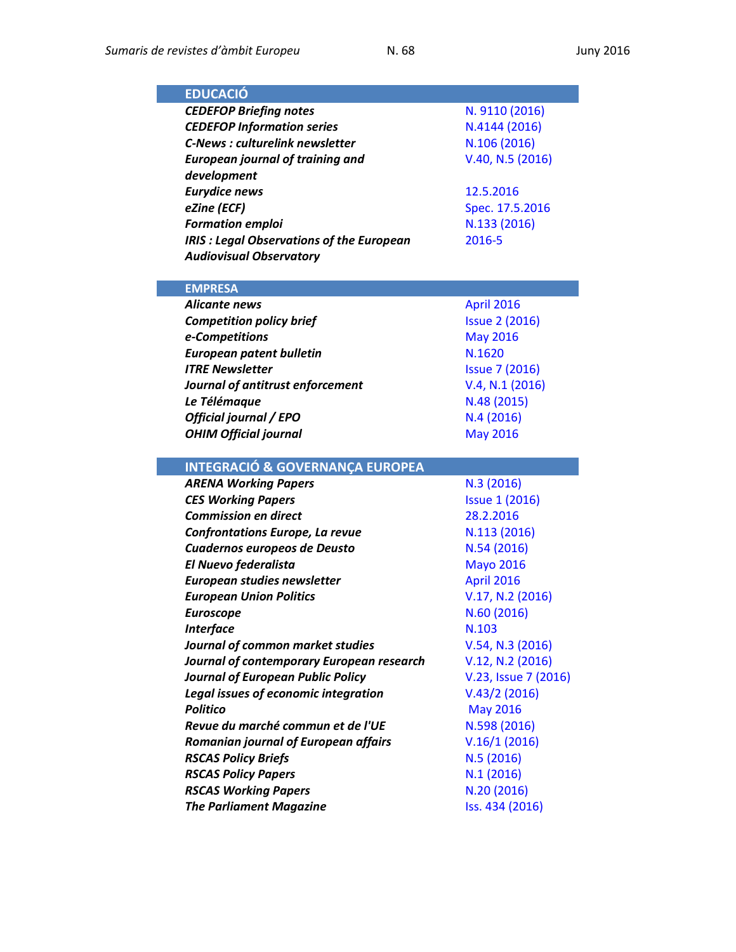| <b>EDUCACIÓ</b>                                               |                                |
|---------------------------------------------------------------|--------------------------------|
| <b>CEDEFOP Briefing notes</b>                                 | N. 9110 (2016)                 |
| <b>CEDEFOP Information series</b>                             | N.4144 (2016)                  |
| <b>C-News: culturelink newsletter</b>                         | N.106 (2016)                   |
| <b>European journal of training and</b>                       | V.40, N.5 (2016)               |
| development                                                   |                                |
| <b>Eurydice news</b>                                          | 12.5.2016                      |
| eZine (ECF)                                                   | Spec. 17.5.2016                |
| <b>Formation emploi</b>                                       | N.133 (2016)                   |
| <b>IRIS : Legal Observations of the European</b>              | 2016-5                         |
| <b>Audiovisual Observatory</b>                                |                                |
|                                                               |                                |
| <b>EMPRESA</b>                                                |                                |
| Alicante news                                                 | <b>April 2016</b>              |
| <b>Competition policy brief</b>                               | <b>Issue 2 (2016)</b>          |
| e-Competitions                                                | <b>May 2016</b>                |
| <b>European patent bulletin</b>                               | N.1620                         |
| <b>ITRE Newsletter</b>                                        | <b>Issue 7 (2016)</b>          |
| Journal of antitrust enforcement                              | V.4, N.1 (2016)                |
| Le Télémaque                                                  | N.48 (2015)                    |
| Official journal / EPO                                        | N.4(2016)                      |
| <b>OHIM Official journal</b>                                  | <b>May 2016</b>                |
|                                                               |                                |
|                                                               |                                |
| <b>INTEGRACIÓ &amp; GOVERNANÇA EUROPEA</b>                    |                                |
| <b>ARENA Working Papers</b>                                   | N.3(2016)                      |
| <b>CES Working Papers</b>                                     | <b>Issue 1 (2016)</b>          |
| <b>Commission en direct</b>                                   | 28.2.2016                      |
| <b>Confrontations Europe, La revue</b>                        | N.113 (2016)                   |
| Cuadernos europeos de Deusto                                  | N.54 (2016)                    |
| <b>El Nuevo federalista</b>                                   | <b>Mayo 2016</b>               |
| European studies newsletter                                   | <b>April 2016</b>              |
| <b>European Union Politics</b>                                | V.17, N.2 (2016)               |
| <b>Euroscope</b>                                              | N.60 (2016)                    |
| <b>Interface</b>                                              | N.103                          |
| Journal of common market studies                              | V.54, N.3 (2016)               |
| Journal of contemporary European research                     | V.12, N.2 (2016)               |
| <b>Journal of European Public Policy</b>                      | V.23, Issue 7 (2016)           |
| Legal issues of economic integration                          | V.43/2(2016)                   |
| <b>Politico</b>                                               | <b>May 2016</b>                |
| Revue du marché commun et de l'UE                             | N.598 (2016)                   |
| Romanian journal of European affairs                          | V.16/1(2016)                   |
| <b>RSCAS Policy Briefs</b>                                    | N.5(2016)                      |
| <b>RSCAS Policy Papers</b>                                    | N.1(2016)                      |
| <b>RSCAS Working Papers</b><br><b>The Parliament Magazine</b> | N.20 (2016)<br>Iss. 434 (2016) |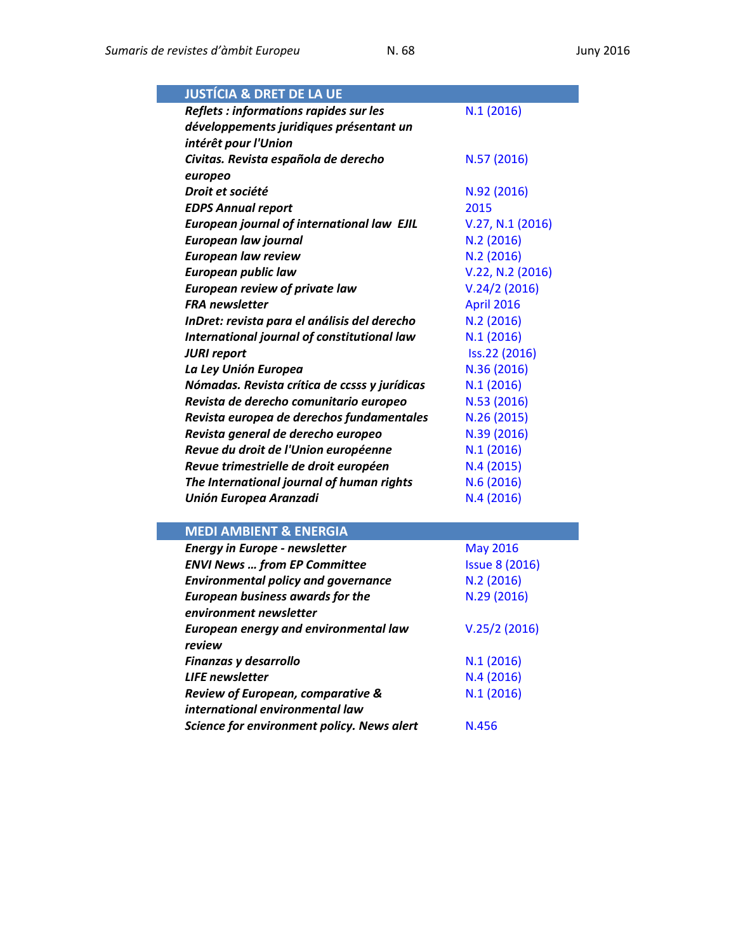| <b>JUSTÍCIA &amp; DRET DE LA UE</b>               |                  |
|---------------------------------------------------|------------------|
| Reflets : informations rapides sur les            | N.1(2016)        |
| développements juridiques présentant un           |                  |
| intérêt pour l'Union                              |                  |
| Civitas. Revista española de derecho              | N.57 (2016)      |
| europeo                                           |                  |
| Droit et société                                  | N.92 (2016)      |
| <b>EDPS Annual report</b>                         | 2015             |
| <b>European journal of international law EJIL</b> | V.27, N.1 (2016) |
| European law journal                              | N.2(2016)        |
| <b>European law review</b>                        | N.2 (2016)       |
| <b>European public law</b>                        | V.22, N.2 (2016) |
| <b>European review of private law</b>             | V.24/2(2016)     |
| <b>FRA</b> newsletter                             | April 2016       |
| InDret: revista para el análisis del derecho      | N.2(2016)        |
| International journal of constitutional law       | N.1(2016)        |
| <b>JURI report</b>                                | Iss.22 (2016)    |
| La Ley Unión Europea                              | N.36 (2016)      |
| Nómadas. Revista crítica de ccsss y jurídicas     | N.1(2016)        |
| Revista de derecho comunitario europeo            | N.53 (2016)      |
| Revista europea de derechos fundamentales         | N.26 (2015)      |
| Revista general de derecho europeo                | N.39 (2016)      |
| Revue du droit de l'Union européenne              | N.1(2016)        |
| Revue trimestrielle de droit européen             | N.4(2015)        |
| The International journal of human rights         | N.6 (2016)       |
| <b>Unión Europea Aranzadi</b>                     | N.4(2016)        |
|                                                   |                  |
| <b>MEDI AMBIENT &amp; ENERGIA</b>                 |                  |

| <b>Energy in Europe - newsletter</b>       | <b>May 2016</b>       |
|--------------------------------------------|-----------------------|
| <b>ENVI News  from EP Committee</b>        | <b>Issue 8 (2016)</b> |
| <b>Environmental policy and governance</b> | N.2(2016)             |
| <b>European business awards for the</b>    | N.29 (2016)           |
| environment newsletter                     |                       |
| European energy and environmental law      | V.25/2(2016)          |
| review                                     |                       |
| Finanzas y desarrollo                      | N.1(2016)             |
| <b>LIFE</b> newsletter                     | N.4(2016)             |
| Review of European, comparative &          | N.1(2016)             |
| international environmental law            |                       |
| Science for environment policy. News alert | N.456                 |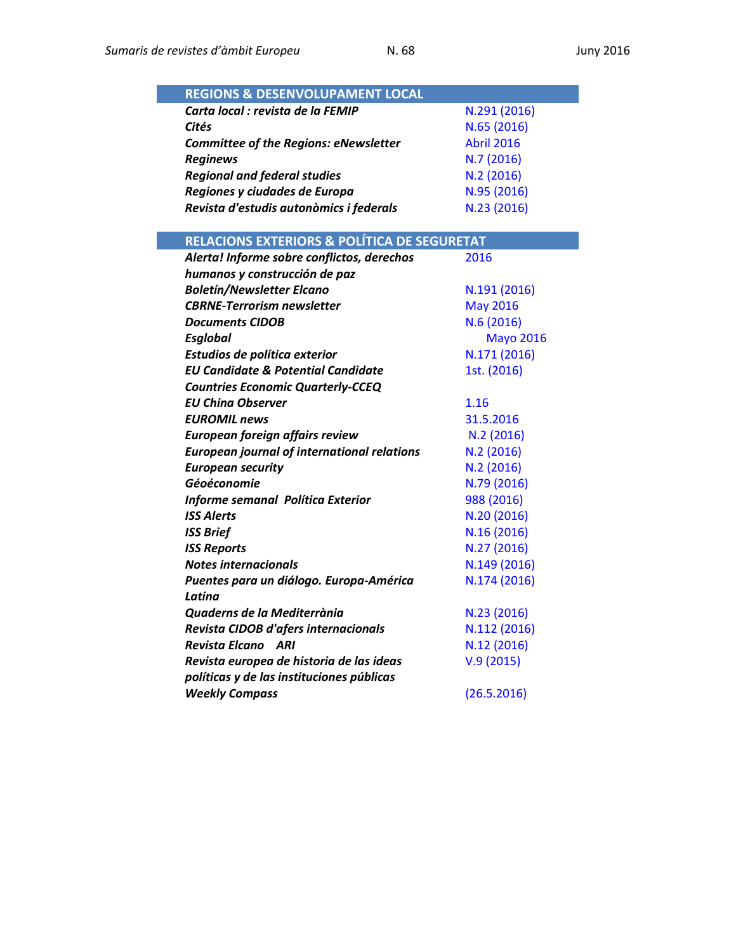| <b>REGIONS &amp; DESENVOLUPAMENT LOCAL</b>   |                   |
|----------------------------------------------|-------------------|
| Carta local : revista de la FEMIP            | N.291 (2016)      |
| Cités                                        | N.65 (2016)       |
| <b>Committee of the Regions: eNewsletter</b> | <b>Abril 2016</b> |
| <b>Reginews</b>                              | N.7(2016)         |
| <b>Regional and federal studies</b>          | N.2(2016)         |
| Regiones y ciudades de Europa                | N.95 (2016)       |
| Revista d'estudis autonòmics i federals      | N.23 (2016)       |

| RELACIONS EXTERIORS & POLÍTICA DE SEGURETAT        |                  |
|----------------------------------------------------|------------------|
| Alerta! Informe sobre conflictos, derechos         | 2016             |
| humanos y construcción de paz                      |                  |
| <b>Boletín/Newsletter Elcano</b>                   | N.191 (2016)     |
| <b>CBRNE-Terrorism newsletter</b>                  | <b>May 2016</b>  |
| <b>Documents CIDOB</b>                             | N.6(2016)        |
| Esglobal                                           | <b>Mayo 2016</b> |
| Estudios de política exterior                      | N.171 (2016)     |
| <b>EU Candidate &amp; Potential Candidate</b>      | 1st. (2016)      |
| <b>Countries Economic Quarterly-CCEQ</b>           |                  |
| <b>EU China Observer</b>                           | 1.16             |
| <b>EUROMIL news</b>                                | 31.5.2016        |
| European foreign affairs review                    | N.2(2016)        |
| <b>European journal of international relations</b> | N.2(2016)        |
| <b>European security</b>                           | N.2(2016)        |
| Géoéconomie                                        | N.79 (2016)      |
| Informe semanal Política Exterior                  | 988 (2016)       |
| <b>ISS Alerts</b>                                  | N.20 (2016)      |
| <b>ISS Brief</b>                                   | N.16 (2016)      |
| <b>ISS Reports</b>                                 | N.27 (2016)      |
| <b>Notes internacionals</b>                        | N.149 (2016)     |
| Puentes para un diálogo. Europa-América            | N.174 (2016)     |
| Latina                                             |                  |
| Quaderns de la Mediterrània                        | N.23 (2016)      |
| Revista CIDOB d'afers internacionals               | N.112 (2016)     |
| <b>Revista Elcano ARI</b>                          | N.12 (2016)      |
| Revista europea de historia de las ideas           | V.9(2015)        |
| políticas y de las instituciones públicas          |                  |
| <b>Weekly Compass</b>                              | (26.5.2016)      |